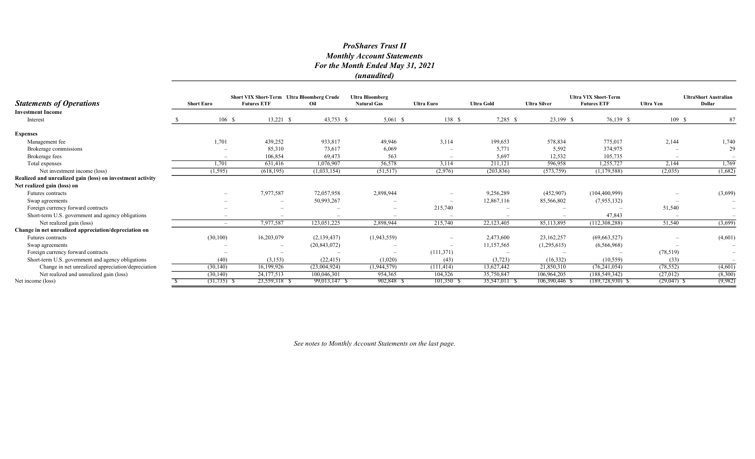|                                                            |                   |                          | <b>Short VIX Short-Term Ultra Bloomberg Crude</b> |                | <b>Ultra Bloomberg</b>          |                          |                   | <b>Ultra VIX Short-Term</b> |                      | <b>UltraShort Australian</b> |               |
|------------------------------------------------------------|-------------------|--------------------------|---------------------------------------------------|----------------|---------------------------------|--------------------------|-------------------|-----------------------------|----------------------|------------------------------|---------------|
| <b>Statements of Operations</b>                            | <b>Short Euro</b> |                          | <b>Futures ETF</b>                                | Oil            | <b>Natural Gas</b>              | <b>Ultra Euro</b>        | <b>Ultra Gold</b> | <b>Ultra Silver</b>         | <b>Futures ETF</b>   | <b>Ultra Yen</b>             | <b>Dollar</b> |
| <b>Investment Income</b>                                   |                   |                          |                                                   |                |                                 |                          |                   |                             |                      |                              |               |
| Interest                                                   |                   | 106S                     | $13,221$ \$                                       | 43,753 \$      | $5,061$ \$                      | 138S                     | 7,285 \$          | 23,199 \$                   | 76,139 \$            | 109S                         | 87            |
| <b>Expenses</b>                                            |                   |                          |                                                   |                |                                 |                          |                   |                             |                      |                              |               |
| Management fee                                             |                   | 1,701                    | 439,252                                           | 933,817        | 49,946                          | 3,114                    | 199,653           | 578,834                     | 775,017              | 2,144                        | 1,740         |
| Brokerage commissions                                      |                   |                          | 85,310                                            | 73,617         | 6,069                           |                          | 5,771             | 5,592                       | 374,975              |                              | 29            |
| Brokerage fees                                             |                   |                          | 106,854                                           | 69,473         | 563                             |                          | 5,697             | 12,532                      | 105,735              |                              |               |
| Total expenses                                             |                   | 1,701                    | 631,416                                           | 1,076,907      | 56,578                          | 3,114                    | 211,121           | 596,958                     | 1,255,727            | 2,144                        | 1,769         |
| Net investment income (loss)                               |                   | (1, 595)                 | (618, 195)                                        | (1,033,154)    | (51, 517)                       | (2,976)                  | (203, 836)        | (573, 759)                  | (1,179,588)          | (2,035)                      | (1,682)       |
| Realized and unrealized gain (loss) on investment activity |                   |                          |                                                   |                |                                 |                          |                   |                             |                      |                              |               |
| Net realized gain (loss) on                                |                   |                          |                                                   |                |                                 |                          |                   |                             |                      |                              |               |
| <b>Futures contracts</b>                                   |                   |                          | 7,977,587                                         | 72,057,958     | 2,898,944                       |                          | 9,256,289         | (452,907)                   | (104, 400, 999)      |                              | (3,699)       |
| Swap agreements                                            |                   |                          | $\overline{\phantom{0}}$                          | 50,993,267     |                                 |                          | 12,867,116        | 85,566,802                  | (7,955,132)          |                              |               |
| Foreign currency forward contracts                         |                   |                          |                                                   |                | $\hspace{0.1mm}-\hspace{0.1mm}$ | 215,740                  |                   |                             |                      | 51,540                       |               |
| Short-term U.S. government and agency obligations          |                   |                          | $\overline{\phantom{a}}$                          |                | $\overline{\phantom{a}}$        | $\overline{\phantom{a}}$ |                   |                             | 47,843               |                              |               |
| Net realized gain (loss)                                   |                   | $\overline{\phantom{a}}$ | 7,977,587                                         | 123,051,225    | 2,898,944                       | 215,740                  | 22,123,405        | 85,113,895                  | (112,308,288)        | 51,540                       | (3,699)       |
| Change in net unrealized appreciation/depreciation on      |                   |                          |                                                   |                |                                 |                          |                   |                             |                      |                              |               |
| <b>Futures contracts</b>                                   |                   | (30,100)                 | 16,203,079                                        | (2,139,437)    | (1,943,559)                     |                          | 2,473,600         | 23,162,257                  | (69, 663, 527)       |                              | (4,601)       |
| Swap agreements                                            |                   |                          |                                                   | (20, 843, 072) |                                 |                          | 11,157,565        | (1,295,615)                 | (6,566,968)          |                              |               |
| Foreign currency forward contracts                         |                   |                          |                                                   |                | $\overline{\phantom{a}}$        | (111,371)                |                   |                             |                      | (78, 519)                    | $-$           |
| Short-term U.S. government and agency obligations          |                   | (40)                     | (3,153)                                           | (22, 415)      | (1,020)                         | (43)                     | (3,723)           | (16, 332)                   | (10, 559)            | (33)                         |               |
| Change in net unrealized appreciation/depreciation         |                   | (30, 140)                | 16,199,926                                        | (23,004,924)   | (1,944,579)                     | (111, 414)               | 13,627,442        | 21,850,310                  | (76, 241, 054)       | (78, 552)                    | (4,601)       |
| Net realized and unrealized gain (loss)                    |                   | (30, 140)                | 24,177,513                                        | 100,046,301    | 954,365                         | 104,326                  | 35,750,847        | 106,964,205                 | (188, 549, 342)      | (27, 012)                    | (8,300)       |
| Net income (loss)                                          |                   | $(31,735)$ \$            | 23,559,318 \$                                     | 99,013,147 \$  | 902,848 \$                      | 101,350 \$               | 35,547,011 \$     | 106,390,446 \$              | $(189, 728, 930)$ \$ | $(29,047)$ \$                | (9,982)       |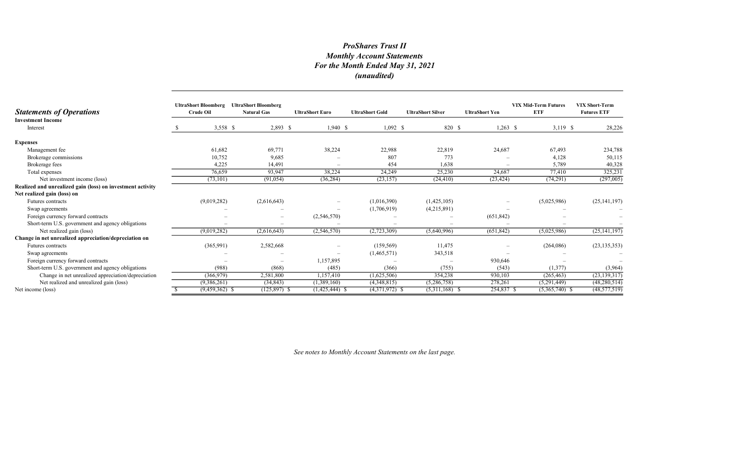| <b>Statements of Operations</b>                            | <b>UltraShort Bloomberg</b><br><b>Crude Oil</b> | <b>UltraShort Bloomberg</b><br><b>Natural Gas</b> | <b>UltraShort Euro</b> | <b>UltraShort Gold</b> | <b>UltraShort Silver</b> | <b>UltraShort Yen</b> | <b>VIX Mid-Term Futures</b><br><b>ETF</b> | <b>VIX Short-Term</b><br><b>Futures ETF</b> |
|------------------------------------------------------------|-------------------------------------------------|---------------------------------------------------|------------------------|------------------------|--------------------------|-----------------------|-------------------------------------------|---------------------------------------------|
| <b>Investment Income</b><br>Interest                       | 3,558 \$                                        | $2,893$ \$                                        | $1,940$ \$             | $1,092$ \$             | 820 \$                   | $1,263$ \$            | $3,119$ \$                                | 28,226                                      |
|                                                            |                                                 |                                                   |                        |                        |                          |                       |                                           |                                             |
| <b>Expenses</b>                                            |                                                 |                                                   |                        |                        |                          |                       |                                           |                                             |
| Management fee                                             | 61,682                                          | 69,771                                            | 38,224                 | 22,988                 | 22,819                   | 24,687                | 67,493                                    | 234,788                                     |
| Brokerage commissions                                      | 10,752                                          | 9,685                                             |                        | 807                    | 773                      |                       | 4,128                                     | 50,115                                      |
| Brokerage fees                                             | 4,225                                           | 14,491                                            |                        | 454                    | 1,638                    |                       | 5,789                                     | 40,328                                      |
| Total expenses                                             | 76,659                                          | 93,947                                            | 38,224                 | 24,249                 | 25,230                   | 24,687                | 77,410                                    | 325,231                                     |
| Net investment income (loss)                               | (73, 101)                                       | (91, 054)                                         | (36, 284)              | (23, 157)              | (24, 410)                | (23, 424)             | (74,291)                                  | (297,005)                                   |
| Realized and unrealized gain (loss) on investment activity |                                                 |                                                   |                        |                        |                          |                       |                                           |                                             |
| Net realized gain (loss) on                                |                                                 |                                                   |                        |                        |                          |                       |                                           |                                             |
| Futures contracts                                          | (9,019,282)                                     | (2,616,643)                                       |                        | (1,016,390)            | (1,425,105)              |                       | (5,025,986)                               | (25, 141, 197)                              |
| Swap agreements                                            |                                                 |                                                   |                        | (1,706,919)            | (4,215,891)              |                       |                                           |                                             |
| Foreign currency forward contracts                         |                                                 |                                                   | (2,546,570)            |                        |                          | (651, 842)            |                                           |                                             |
| Short-term U.S. government and agency obligations          |                                                 |                                                   |                        |                        |                          |                       |                                           |                                             |
| Net realized gain (loss)                                   | (9,019,282)                                     | (2,616,643)                                       | (2,546,570)            | (2,723,309)            | (5,640,996)              | (651, 842)            | (5,025,986)                               | (25, 141, 197)                              |
| Change in net unrealized appreciation/depreciation on      |                                                 |                                                   |                        |                        |                          |                       |                                           |                                             |
| Futures contracts                                          | (365,991)                                       | 2,582,668                                         |                        | (159, 569)             | 11,475                   |                       | (264,086)                                 | (23, 135, 353)                              |
| Swap agreements                                            |                                                 |                                                   |                        | (1,465,571)            | 343,518                  |                       |                                           |                                             |
| Foreign currency forward contracts                         |                                                 | $\overline{\phantom{a}}$                          | 1,157,895              |                        |                          | 930,646               |                                           |                                             |
| Short-term U.S. government and agency obligations          | (988)                                           | (868)                                             | (485)                  | (366)                  | (755)                    | (543)                 | (1,377)                                   | (3,964)                                     |
| Change in net unrealized appreciation/depreciation         | (366, 979)                                      | 2,581,800                                         | 1,157,410              | (1,625,506)            | 354,238                  | 930,103               | (265, 463)                                | (23, 139, 317)                              |
| Net realized and unrealized gain (loss)                    | (9,386,261)                                     | (34, 843)                                         | (1,389,160)            | (4,348,815)            | (5,286,758)              | 278,261               | (5,291,449)                               | (48, 280, 514)                              |
| Net income (loss)                                          | $(9,459,362)$ \$                                | $(125, 897)$ \$                                   | $(1,425,444)$ \$       | $(4,371,972)$ \$       | $(5,311,168)$ \$         | 254,837 \$            | $(5,365,740)$ \$                          | (48, 577, 519)                              |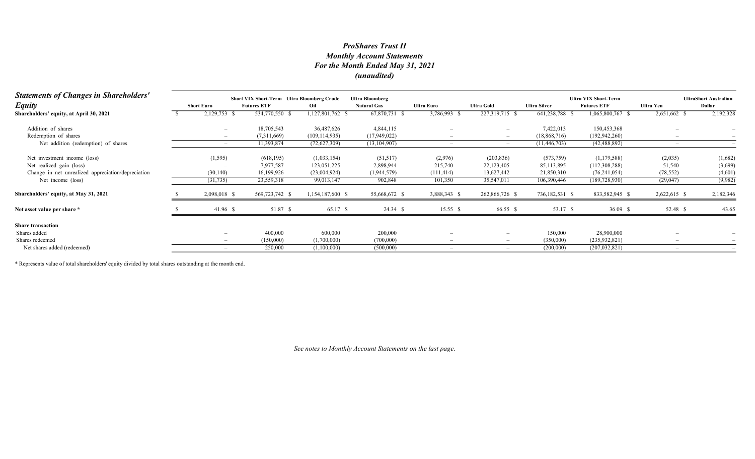| <b>Statements of Changes in Shareholders'</b>      | Short VIX Short-Term Ultra Bloomberg Crude<br><b>Ultra Bloomberg</b> |                    |                  |                    |                          |                          |                     | <b>Ultra VIX Short-Term</b> |                          |                                        |  |
|----------------------------------------------------|----------------------------------------------------------------------|--------------------|------------------|--------------------|--------------------------|--------------------------|---------------------|-----------------------------|--------------------------|----------------------------------------|--|
| <b>Equity</b>                                      | <b>Short Euro</b>                                                    | <b>Futures ETF</b> | Oil              | <b>Natural Gas</b> | <b>Ultra Euro</b>        | <b>Ultra Gold</b>        | <b>Ultra Silver</b> | <b>Futures ETF</b>          | <b>Ultra Yen</b>         | <b>UltraShort Australian</b><br>Dollar |  |
| Shareholders' equity, at April 30, 2021            | 2,129,753 \$                                                         | 534,770,550 \$     | .127,801,762     | 67,870,731         | 3,786,993 \$             | 227,319,715 \$           | 641,238,788 \$      | 1,065,800,767 \$            | 2,651,662 \$             | 2,192,328                              |  |
| Addition of shares                                 |                                                                      | 18,705,543         | 36,487,626       | 4,844,115          |                          |                          | 7,422,013           | 150,453,368                 |                          |                                        |  |
| Redemption of shares                               |                                                                      | (7,311,669)        | (109, 114, 935)  | (17,949,022)       |                          |                          | (18,868,716)        | (192, 942, 260)             |                          |                                        |  |
| Net addition (redemption) of shares                | $\overline{\phantom{a}}$                                             | 11,393,874         | (72,627,309)     | (13, 104, 907)     | $\overline{\phantom{a}}$ | $\overline{\phantom{a}}$ | (11, 446, 703)      | (42, 488, 892)              | $\overline{\phantom{0}}$ |                                        |  |
| Net investment income (loss)                       | (1, 595)                                                             | (618, 195)         | (1,033,154)      | (51,517)           | (2,976)                  | (203, 836)               | (573,759)           | (1, 179, 588)               | (2,035)                  | (1,682)                                |  |
| Net realized gain (loss)                           |                                                                      | 7,977,587          | 123,051,225      | 2,898,944          | 215,740                  | 22,123,405               | 85,113,895          | (112,308,288)               | 51,540                   | (3,699)                                |  |
| Change in net unrealized appreciation/depreciation | (30, 140)                                                            | 16,199,926         | (23,004,924)     | (1,944,579)        | (111, 414)               | 13,627,442               | 21,850,310          | (76, 241, 054)              | (78, 552)                | (4,601)                                |  |
| Net income (loss)                                  | (31, 735)                                                            | 23,559,318         | 99,013,147       | 902,848            | 101,350                  | 35,547,011               | 106,390,446         | (189, 728, 930)             | (29, 047)                | (9,982)                                |  |
| Shareholders' equity, at May 31, 2021              | 2,098,018 \$                                                         | 569,723,742 \$     | 1,154,187,600 \$ | 55,668,672 \$      | 3,888,343 \$             | 262,866,726 \$           | 736,182,531 \$      | 833,582,945 \$              | 2,622,615 \$             | 2,182,346                              |  |
| Net asset value per share *                        | 41.96 \$                                                             | 51.87 \$           | 65.17 \$         | 24.34 \$           | 15.55 S                  | 66.55 \$                 | 53.17 \$            | 36.09 \$                    | 52.48 \$                 | 43.65                                  |  |
| <b>Share transaction</b>                           |                                                                      |                    |                  |                    |                          |                          |                     |                             |                          |                                        |  |
| Shares added                                       |                                                                      | 400,000            | 600,000          | 200,000            |                          |                          | 150,000             | 28,900,000                  |                          |                                        |  |
| Shares redeemed                                    |                                                                      | (150,000)          | (1,700,000)      | (700,000)          |                          |                          | (350,000)           | (235, 932, 821)             |                          |                                        |  |
| Net shares added (redeemed)                        |                                                                      | 250,000            | (1,100,000)      | (500,000)          |                          |                          | (200,000)           | (207, 032, 821)             |                          |                                        |  |

\* Represents value of total shareholders' equity divided by total shares outstanding at the month end.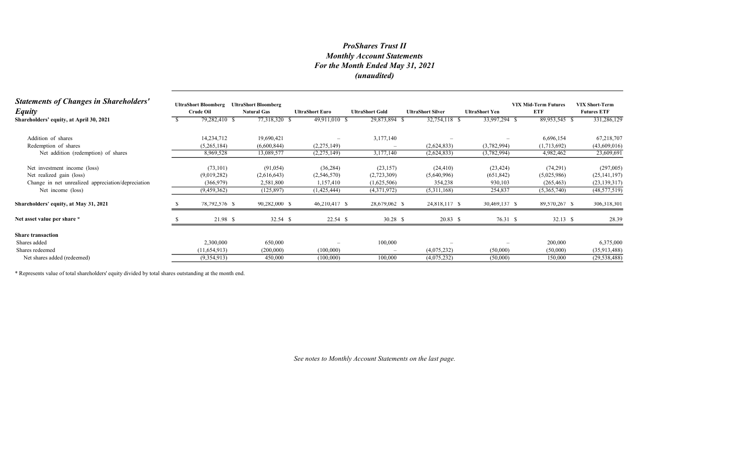| <b>Statements of Changes in Shareholders'</b><br><b>Equity</b> | <b>UltraShort Bloomberg</b><br><b>Crude Oil</b> | <b>UltraShort Bloomberg</b><br><b>Natural Gas</b> | <b>UltraShort Euro</b> | <b>UltraShort Gold</b>   | <b>UltraShort Silver</b> | <b>UltraShort Yen</b>    | <b>VIX Mid-Term Futures</b><br><b>ETF</b> | <b>VIX Short-Term</b><br><b>Futures ETF</b> |
|----------------------------------------------------------------|-------------------------------------------------|---------------------------------------------------|------------------------|--------------------------|--------------------------|--------------------------|-------------------------------------------|---------------------------------------------|
| Shareholders' equity, at April 30, 2021                        | 79,282,410 \$                                   | 77,318,320 \$                                     | 49,911,010 \$          | 29,873,894 \$            | 32,754,118 \$            | 33,997,294 \$            | 89,953,545 \$                             | 331,286,129                                 |
| Addition of shares                                             | 14,234,712                                      | 19,690,421                                        |                        | 3,177,140                |                          |                          | 6,696,154                                 | 67,218,707                                  |
| Redemption of shares                                           | (5,265,184)                                     | (6,600,844)                                       | (2,275,149)            |                          | (2,624,833)              | (3,782,994)              | (1,713,692)                               | (43,609,016)                                |
| Net addition (redemption) of shares                            | 8,969,528                                       | 13,089,577                                        | (2,275,149)            | 3,177,140                | (2,624,833)              | (3,782,994)              | 4,982,462                                 | 23,609,691                                  |
| Net investment income (loss)                                   | (73, 101)                                       | (91, 054)                                         | (36, 284)              | (23, 157)                | (24, 410)                | (23, 424)                | (74,291)                                  | (297,005)                                   |
| Net realized gain (loss)                                       | (9,019,282)                                     | (2,616,643)                                       | (2,546,570)            | (2,723,309)              | (5,640,996)              | (651, 842)               | (5,025,986)                               | (25, 141, 197)                              |
| Change in net unrealized appreciation/depreciation             | (366, 979)                                      | 2,581,800                                         | 1,157,410              | (1,625,506)              | 354,238                  | 930,103                  | (265, 463)                                | (23, 139, 317)                              |
| Net income (loss)                                              | (9,459,362)                                     | (125, 897)                                        | (1,425,444)            | (4,371,972)              | (5,311,168)              | 254,837                  | (5,365,740)                               | (48, 577, 519)                              |
| Shareholders' equity, at May 31, 2021                          | 78,792,576 \$                                   | 90,282,000 \$                                     | 46,210,417 \$          | 28,679,062 \$            | 24,818,117 \$            | 30,469,137 \$            | 89,570,267 \$                             | 306,318,301                                 |
| Net asset value per share *                                    | 21.98 \$                                        | 32.54 \$                                          | $22.54$ \$             | $30.28$ \$               | 20.83 \$                 | 76.31 \$                 | 32.13 \$                                  | 28.39                                       |
| <b>Share transaction</b>                                       |                                                 |                                                   |                        |                          |                          |                          |                                           |                                             |
| Shares added                                                   | 2,300,000                                       | 650,000                                           |                        | 100,000                  |                          | $\overline{\phantom{a}}$ | 200,000                                   | 6,375,000                                   |
| Shares redeemed                                                | (11, 654, 913)                                  | (200,000)                                         | (100,000)              | $\overline{\phantom{m}}$ | (4,075,232)              | (50,000)                 | (50,000)                                  | (35,913,488)                                |
| Net shares added (redeemed)                                    | (9,354,913)                                     | 450,000                                           | (100,000)              | 100,000                  | (4,075,232)              | (50,000)                 | 150,000                                   | (29, 538, 488)                              |

\* Represents value of total shareholders' equity divided by total shares outstanding at the month end.